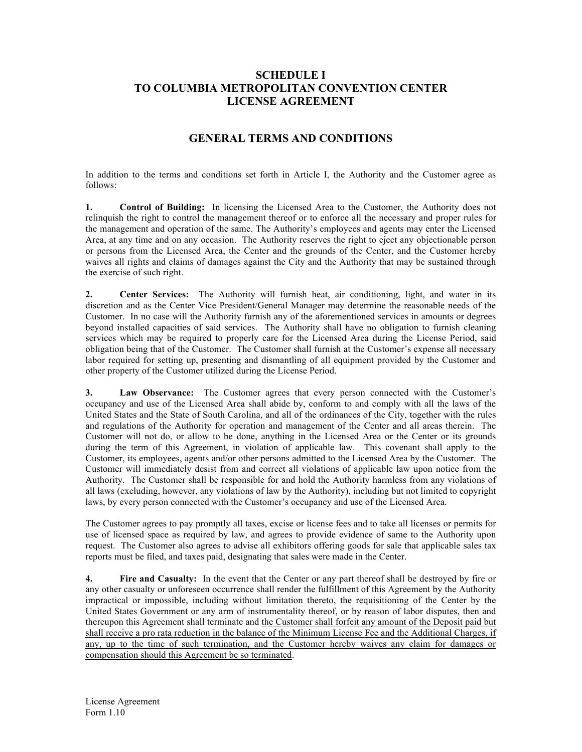## **SCHEDULE I TO COLUMBIA METROPOLITAN CONVENTION CENTER LICENSE AGREEMENT**

## **GENERAL TERMS AND CONDITIONS**

In addition to the terms and conditions set forth in Article I, the Authority and the Customer agree as follows:

**1. Control of Building:** In licensing the Licensed Area to the Customer, the Authority does not relinquish the right to control the management thereof or to enforce all the necessary and proper rules for the management and operation of the same. The Authority's employees and agents may enter the Licensed Area, at any time and on any occasion. The Authority reserves the right to eject any objectionable person or persons from the Licensed Area, the Center and the grounds of the Center, and the Customer hereby waives all rights and claims of damages against the City and the Authority that may be sustained through the exercise of such right.

**2. Center Services:** The Authority will furnish heat, air conditioning, light, and water in its discretion and as the Center Vice President/General Manager may determine the reasonable needs of the Customer. In no case will the Authority furnish any of the aforementioned services in amounts or degrees beyond installed capacities of said services. The Authority shall have no obligation to furnish cleaning services which may be required to properly care for the Licensed Area during the License Period, said obligation being that of the Customer. The Customer shall furnish at the Customer's expense all necessary labor required for setting up, presenting and dismantling of all equipment provided by the Customer and other property of the Customer utilized during the License Period.

**3. Law Observance:** The Customer agrees that every person connected with the Customer's occupancy and use of the Licensed Area shall abide by, conform to and comply with all the laws of the United States and the State of South Carolina, and all of the ordinances of the City, together with the rules and regulations of the Authority for operation and management of the Center and all areas therein. The Customer will not do, or allow to be done, anything in the Licensed Area or the Center or its grounds during the term of this Agreement, in violation of applicable law. This covenant shall apply to the Customer, its employees, agents and/or other persons admitted to the Licensed Area by the Customer. The Customer will immediately desist from and correct all violations of applicable law upon notice from the Authority. The Customer shall be responsible for and hold the Authority harmless from any violations of all laws (excluding, however, any violations of law by the Authority), including but not limited to copyright laws, by every person connected with the Customer's occupancy and use of the Licensed Area.

The Customer agrees to pay promptly all taxes, excise or license fees and to take all licenses or permits for use of licensed space as required by law, and agrees to provide evidence of same to the Authority upon request. The Customer also agrees to advise all exhibitors offering goods for sale that applicable sales tax reports must be filed, and taxes paid, designating that sales were made in the Center.

**4. Fire and Casualty:** In the event that the Center or any part thereof shall be destroyed by fire or any other casualty or unforeseen occurrence shall render the fulfillment of this Agreement by the Authority impractical or impossible, including without limitation thereto, the requisitioning of the Center by the United States Government or any arm of instrumentality thereof, or by reason of labor disputes, then and thereupon this Agreement shall terminate and the Customer shall forfeit any amount of the Deposit paid but shall receive a pro rata reduction in the balance of the Minimum License Fee and the Additional Charges, if any, up to the time of such termination, and the Customer hereby waives any claim for damages or compensation should this Agreement be so terminated.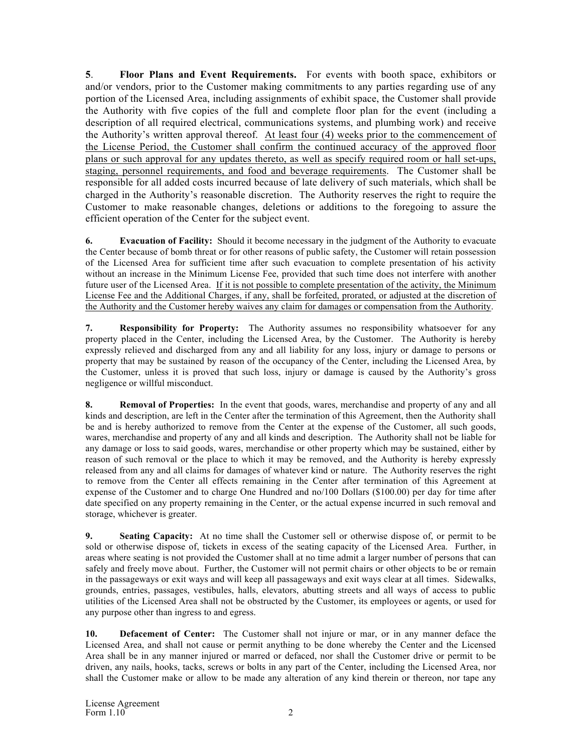**5**. **Floor Plans and Event Requirements.** For events with booth space, exhibitors or and/or vendors, prior to the Customer making commitments to any parties regarding use of any portion of the Licensed Area, including assignments of exhibit space, the Customer shall provide the Authority with five copies of the full and complete floor plan for the event (including a description of all required electrical, communications systems, and plumbing work) and receive the Authority's written approval thereof. At least four (4) weeks prior to the commencement of the License Period, the Customer shall confirm the continued accuracy of the approved floor plans or such approval for any updates thereto, as well as specify required room or hall set-ups, staging, personnel requirements, and food and beverage requirements. The Customer shall be responsible for all added costs incurred because of late delivery of such materials, which shall be charged in the Authority's reasonable discretion. The Authority reserves the right to require the Customer to make reasonable changes, deletions or additions to the foregoing to assure the efficient operation of the Center for the subject event.

**6. Evacuation of Facility:** Should it become necessary in the judgment of the Authority to evacuate the Center because of bomb threat or for other reasons of public safety, the Customer will retain possession of the Licensed Area for sufficient time after such evacuation to complete presentation of his activity without an increase in the Minimum License Fee, provided that such time does not interfere with another future user of the Licensed Area.If it is not possible to complete presentation of the activity, the Minimum License Fee and the Additional Charges, if any, shall be forfeited, prorated, or adjusted at the discretion of the Authority and the Customer hereby waives any claim for damages or compensation from the Authority.

**7. Responsibility for Property:** The Authority assumes no responsibility whatsoever for any property placed in the Center, including the Licensed Area, by the Customer. The Authority is hereby expressly relieved and discharged from any and all liability for any loss, injury or damage to persons or property that may be sustained by reason of the occupancy of the Center, including the Licensed Area, by the Customer, unless it is proved that such loss, injury or damage is caused by the Authority's gross negligence or willful misconduct.

**8. Removal of Properties:** In the event that goods, wares, merchandise and property of any and all kinds and description, are left in the Center after the termination of this Agreement, then the Authority shall be and is hereby authorized to remove from the Center at the expense of the Customer, all such goods, wares, merchandise and property of any and all kinds and description. The Authority shall not be liable for any damage or loss to said goods, wares, merchandise or other property which may be sustained, either by reason of such removal or the place to which it may be removed, and the Authority is hereby expressly released from any and all claims for damages of whatever kind or nature. The Authority reserves the right to remove from the Center all effects remaining in the Center after termination of this Agreement at expense of the Customer and to charge One Hundred and no/100 Dollars (\$100.00) per day for time after date specified on any property remaining in the Center, or the actual expense incurred in such removal and storage, whichever is greater.

**9. Seating Capacity:** At no time shall the Customer sell or otherwise dispose of, or permit to be sold or otherwise dispose of, tickets in excess of the seating capacity of the Licensed Area. Further, in areas where seating is not provided the Customer shall at no time admit a larger number of persons that can safely and freely move about. Further, the Customer will not permit chairs or other objects to be or remain in the passageways or exit ways and will keep all passageways and exit ways clear at all times. Sidewalks, grounds, entries, passages, vestibules, halls, elevators, abutting streets and all ways of access to public utilities of the Licensed Area shall not be obstructed by the Customer, its employees or agents, or used for any purpose other than ingress to and egress.

**10. Defacement of Center:** The Customer shall not injure or mar, or in any manner deface the Licensed Area, and shall not cause or permit anything to be done whereby the Center and the Licensed Area shall be in any manner injured or marred or defaced, nor shall the Customer drive or permit to be driven, any nails, hooks, tacks, screws or bolts in any part of the Center, including the Licensed Area, nor shall the Customer make or allow to be made any alteration of any kind therein or thereon, nor tape any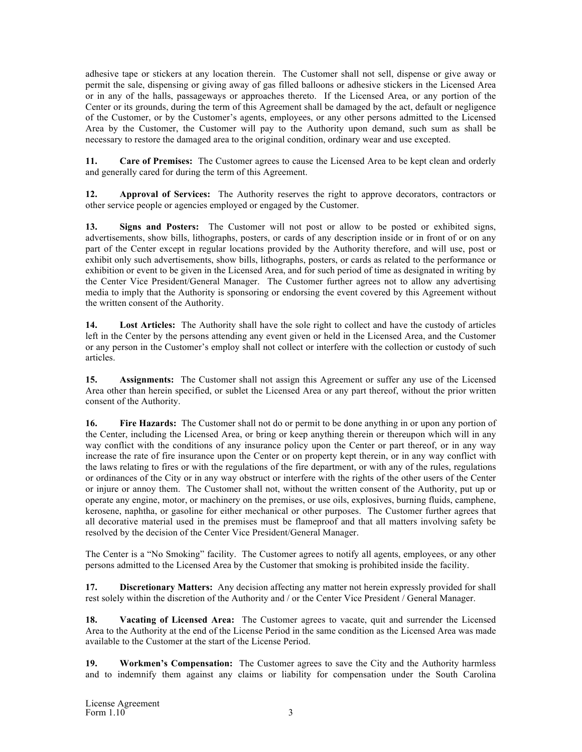adhesive tape or stickers at any location therein. The Customer shall not sell, dispense or give away or permit the sale, dispensing or giving away of gas filled balloons or adhesive stickers in the Licensed Area or in any of the halls, passageways or approaches thereto. If the Licensed Area, or any portion of the Center or its grounds, during the term of this Agreement shall be damaged by the act, default or negligence of the Customer, or by the Customer's agents, employees, or any other persons admitted to the Licensed Area by the Customer, the Customer will pay to the Authority upon demand, such sum as shall be necessary to restore the damaged area to the original condition, ordinary wear and use excepted.

**11. Care of Premises:** The Customer agrees to cause the Licensed Area to be kept clean and orderly and generally cared for during the term of this Agreement.

**12. Approval of Services:** The Authority reserves the right to approve decorators, contractors or other service people or agencies employed or engaged by the Customer.

**13. Signs and Posters:** The Customer will not post or allow to be posted or exhibited signs, advertisements, show bills, lithographs, posters, or cards of any description inside or in front of or on any part of the Center except in regular locations provided by the Authority therefore, and will use, post or exhibit only such advertisements, show bills, lithographs, posters, or cards as related to the performance or exhibition or event to be given in the Licensed Area, and for such period of time as designated in writing by the Center Vice President/General Manager. The Customer further agrees not to allow any advertising media to imply that the Authority is sponsoring or endorsing the event covered by this Agreement without the written consent of the Authority.

**14. Lost Articles:** The Authority shall have the sole right to collect and have the custody of articles left in the Center by the persons attending any event given or held in the Licensed Area, and the Customer or any person in the Customer's employ shall not collect or interfere with the collection or custody of such articles.

**15. Assignments:** The Customer shall not assign this Agreement or suffer any use of the Licensed Area other than herein specified, or sublet the Licensed Area or any part thereof, without the prior written consent of the Authority.

**16. Fire Hazards:** The Customer shall not do or permit to be done anything in or upon any portion of the Center, including the Licensed Area, or bring or keep anything therein or thereupon which will in any way conflict with the conditions of any insurance policy upon the Center or part thereof, or in any way increase the rate of fire insurance upon the Center or on property kept therein, or in any way conflict with the laws relating to fires or with the regulations of the fire department, or with any of the rules, regulations or ordinances of the City or in any way obstruct or interfere with the rights of the other users of the Center or injure or annoy them. The Customer shall not, without the written consent of the Authority, put up or operate any engine, motor, or machinery on the premises, or use oils, explosives, burning fluids, camphene, kerosene, naphtha, or gasoline for either mechanical or other purposes. The Customer further agrees that all decorative material used in the premises must be flameproof and that all matters involving safety be resolved by the decision of the Center Vice President/General Manager.

The Center is a "No Smoking" facility. The Customer agrees to notify all agents, employees, or any other persons admitted to the Licensed Area by the Customer that smoking is prohibited inside the facility.

**17. Discretionary Matters:** Any decision affecting any matter not herein expressly provided for shall rest solely within the discretion of the Authority and / or the Center Vice President / General Manager.

**18. Vacating of Licensed Area:** The Customer agrees to vacate, quit and surrender the Licensed Area to the Authority at the end of the License Period in the same condition as the Licensed Area was made available to the Customer at the start of the License Period.

**19. Workmen's Compensation:** The Customer agrees to save the City and the Authority harmless and to indemnify them against any claims or liability for compensation under the South Carolina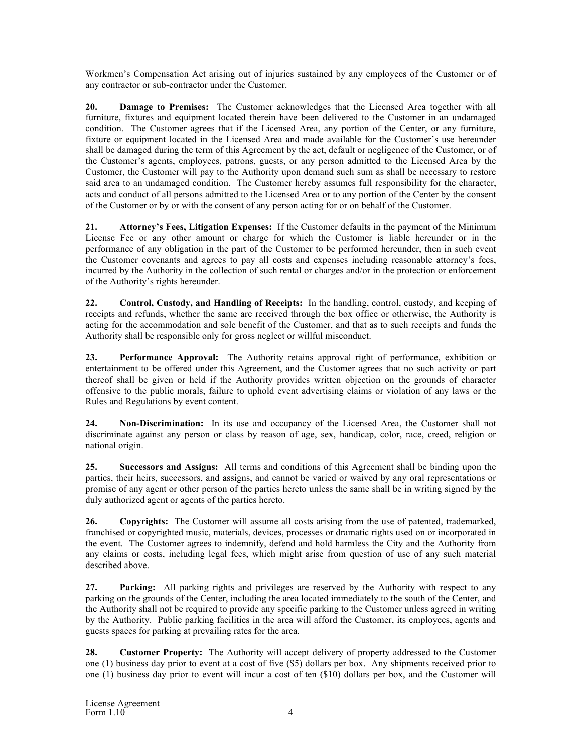Workmen's Compensation Act arising out of injuries sustained by any employees of the Customer or of any contractor or sub-contractor under the Customer.

**20. Damage to Premises:** The Customer acknowledges that the Licensed Area together with all furniture, fixtures and equipment located therein have been delivered to the Customer in an undamaged condition. The Customer agrees that if the Licensed Area, any portion of the Center, or any furniture, fixture or equipment located in the Licensed Area and made available for the Customer's use hereunder shall be damaged during the term of this Agreement by the act, default or negligence of the Customer, or of the Customer's agents, employees, patrons, guests, or any person admitted to the Licensed Area by the Customer, the Customer will pay to the Authority upon demand such sum as shall be necessary to restore said area to an undamaged condition. The Customer hereby assumes full responsibility for the character, acts and conduct of all persons admitted to the Licensed Area or to any portion of the Center by the consent of the Customer or by or with the consent of any person acting for or on behalf of the Customer.

**21. Attorney's Fees, Litigation Expenses:** If the Customer defaults in the payment of the Minimum License Fee or any other amount or charge for which the Customer is liable hereunder or in the performance of any obligation in the part of the Customer to be performed hereunder, then in such event the Customer covenants and agrees to pay all costs and expenses including reasonable attorney's fees, incurred by the Authority in the collection of such rental or charges and/or in the protection or enforcement of the Authority's rights hereunder.

**22. Control, Custody, and Handling of Receipts:** In the handling, control, custody, and keeping of receipts and refunds, whether the same are received through the box office or otherwise, the Authority is acting for the accommodation and sole benefit of the Customer, and that as to such receipts and funds the Authority shall be responsible only for gross neglect or willful misconduct.

**23. Performance Approval:** The Authority retains approval right of performance, exhibition or entertainment to be offered under this Agreement, and the Customer agrees that no such activity or part thereof shall be given or held if the Authority provides written objection on the grounds of character offensive to the public morals, failure to uphold event advertising claims or violation of any laws or the Rules and Regulations by event content.

**24. Non-Discrimination:** In its use and occupancy of the Licensed Area, the Customer shall not discriminate against any person or class by reason of age, sex, handicap, color, race, creed, religion or national origin.

**25. Successors and Assigns:** All terms and conditions of this Agreement shall be binding upon the parties, their heirs, successors, and assigns, and cannot be varied or waived by any oral representations or promise of any agent or other person of the parties hereto unless the same shall be in writing signed by the duly authorized agent or agents of the parties hereto.

**26. Copyrights:** The Customer will assume all costs arising from the use of patented, trademarked, franchised or copyrighted music, materials, devices, processes or dramatic rights used on or incorporated in the event. The Customer agrees to indemnify, defend and hold harmless the City and the Authority from any claims or costs, including legal fees, which might arise from question of use of any such material described above.

**27. Parking:** All parking rights and privileges are reserved by the Authority with respect to any parking on the grounds of the Center, including the area located immediately to the south of the Center, and the Authority shall not be required to provide any specific parking to the Customer unless agreed in writing by the Authority. Public parking facilities in the area will afford the Customer, its employees, agents and guests spaces for parking at prevailing rates for the area.

**28. Customer Property:** The Authority will accept delivery of property addressed to the Customer one (1) business day prior to event at a cost of five (\$5) dollars per box. Any shipments received prior to one (1) business day prior to event will incur a cost of ten (\$10) dollars per box, and the Customer will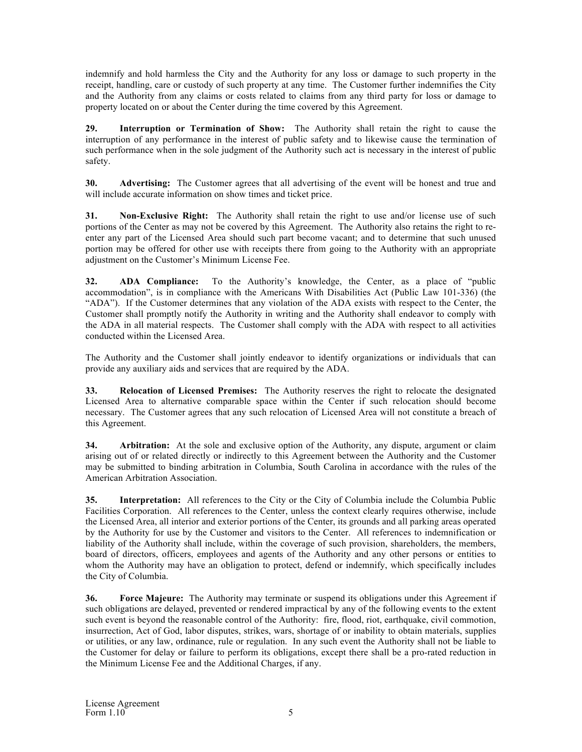indemnify and hold harmless the City and the Authority for any loss or damage to such property in the receipt, handling, care or custody of such property at any time. The Customer further indemnifies the City and the Authority from any claims or costs related to claims from any third party for loss or damage to property located on or about the Center during the time covered by this Agreement.

**29. Interruption or Termination of Show:** The Authority shall retain the right to cause the interruption of any performance in the interest of public safety and to likewise cause the termination of such performance when in the sole judgment of the Authority such act is necessary in the interest of public safety.

**30. Advertising:** The Customer agrees that all advertising of the event will be honest and true and will include accurate information on show times and ticket price.

**31. Non-Exclusive Right:** The Authority shall retain the right to use and/or license use of such portions of the Center as may not be covered by this Agreement. The Authority also retains the right to reenter any part of the Licensed Area should such part become vacant; and to determine that such unused portion may be offered for other use with receipts there from going to the Authority with an appropriate adjustment on the Customer's Minimum License Fee.

**32. ADA Compliance:** To the Authority's knowledge, the Center, as a place of "public accommodation", is in compliance with the Americans With Disabilities Act (Public Law 101-336) (the "ADA"). If the Customer determines that any violation of the ADA exists with respect to the Center, the Customer shall promptly notify the Authority in writing and the Authority shall endeavor to comply with the ADA in all material respects. The Customer shall comply with the ADA with respect to all activities conducted within the Licensed Area.

The Authority and the Customer shall jointly endeavor to identify organizations or individuals that can provide any auxiliary aids and services that are required by the ADA.

**33. Relocation of Licensed Premises:** The Authority reserves the right to relocate the designated Licensed Area to alternative comparable space within the Center if such relocation should become necessary. The Customer agrees that any such relocation of Licensed Area will not constitute a breach of this Agreement.

**34. Arbitration:** At the sole and exclusive option of the Authority, any dispute, argument or claim arising out of or related directly or indirectly to this Agreement between the Authority and the Customer may be submitted to binding arbitration in Columbia, South Carolina in accordance with the rules of the American Arbitration Association.

**35. Interpretation:** All references to the City or the City of Columbia include the Columbia Public Facilities Corporation. All references to the Center, unless the context clearly requires otherwise, include the Licensed Area, all interior and exterior portions of the Center, its grounds and all parking areas operated by the Authority for use by the Customer and visitors to the Center. All references to indemnification or liability of the Authority shall include, within the coverage of such provision, shareholders, the members, board of directors, officers, employees and agents of the Authority and any other persons or entities to whom the Authority may have an obligation to protect, defend or indemnify, which specifically includes the City of Columbia.

**36. Force Majeure:** The Authority may terminate or suspend its obligations under this Agreement if such obligations are delayed, prevented or rendered impractical by any of the following events to the extent such event is beyond the reasonable control of the Authority: fire, flood, riot, earthquake, civil commotion, insurrection, Act of God, labor disputes, strikes, wars, shortage of or inability to obtain materials, supplies or utilities, or any law, ordinance, rule or regulation. In any such event the Authority shall not be liable to the Customer for delay or failure to perform its obligations, except there shall be a pro-rated reduction in the Minimum License Fee and the Additional Charges, if any.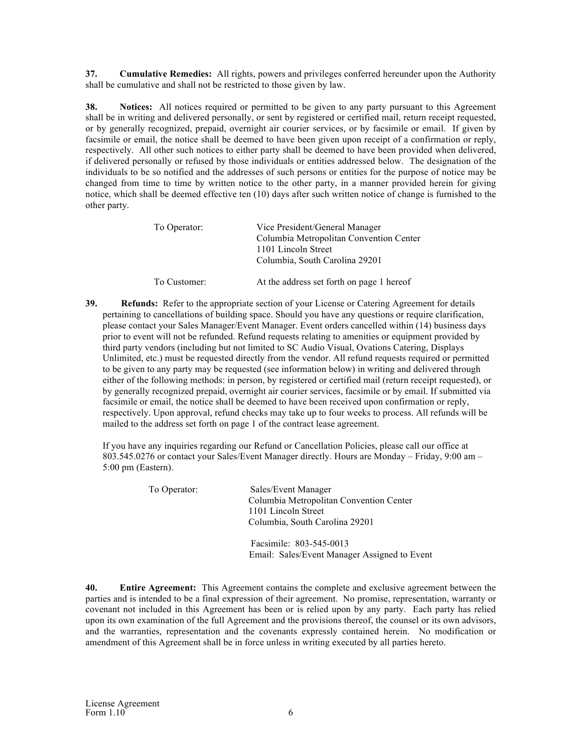**37. Cumulative Remedies:** All rights, powers and privileges conferred hereunder upon the Authority shall be cumulative and shall not be restricted to those given by law.

**38. Notices:** All notices required or permitted to be given to any party pursuant to this Agreement shall be in writing and delivered personally, or sent by registered or certified mail, return receipt requested, or by generally recognized, prepaid, overnight air courier services, or by facsimile or email. If given by facsimile or email, the notice shall be deemed to have been given upon receipt of a confirmation or reply, respectively. All other such notices to either party shall be deemed to have been provided when delivered, if delivered personally or refused by those individuals or entities addressed below. The designation of the individuals to be so notified and the addresses of such persons or entities for the purpose of notice may be changed from time to time by written notice to the other party, in a manner provided herein for giving notice, which shall be deemed effective ten (10) days after such written notice of change is furnished to the other party.

| To Operator: | Vice President/General Manager<br>Columbia Metropolitan Convention Center<br>1101 Lincoln Street<br>Columbia, South Carolina 29201 |
|--------------|------------------------------------------------------------------------------------------------------------------------------------|
| To Customer: | At the address set forth on page 1 hereof                                                                                          |

**39.** Refunds: Refer to the appropriate section of your License or Catering Agreement for details pertaining to cancellations of building space. Should you have any questions or require clarification, please contact your Sales Manager/Event Manager. Event orders cancelled within (14) business days prior to event will not be refunded. Refund requests relating to amenities or equipment provided by third party vendors (including but not limited to SC Audio Visual, Ovations Catering, Displays Unlimited, etc.) must be requested directly from the vendor. All refund requests required or permitted to be given to any party may be requested (see information below) in writing and delivered through either of the following methods: in person, by registered or certified mail (return receipt requested), or by generally recognized prepaid, overnight air courier services, facsimile or by email. If submitted via facsimile or email, the notice shall be deemed to have been received upon confirmation or reply, respectively. Upon approval, refund checks may take up to four weeks to process. All refunds will be mailed to the address set forth on page 1 of the contract lease agreement.

If you have any inquiries regarding our Refund or Cancellation Policies, please call our office at 803.545.0276 or contact your Sales/Event Manager directly. Hours are Monday – Friday, 9:00 am – 5:00 pm (Eastern).

| To Operator: | Sales/Event Manager<br>Columbia Metropolitan Convention Center<br>1101 Lincoln Street<br>Columbia, South Carolina 29201 |
|--------------|-------------------------------------------------------------------------------------------------------------------------|
|              | Facsimile: 803-545-0013<br>Email: Sales/Event Manager Assigned to Event                                                 |

**40. Entire Agreement:** This Agreement contains the complete and exclusive agreement between the parties and is intended to be a final expression of their agreement. No promise, representation, warranty or covenant not included in this Agreement has been or is relied upon by any party. Each party has relied upon its own examination of the full Agreement and the provisions thereof, the counsel or its own advisors, and the warranties, representation and the covenants expressly contained herein. No modification or amendment of this Agreement shall be in force unless in writing executed by all parties hereto.